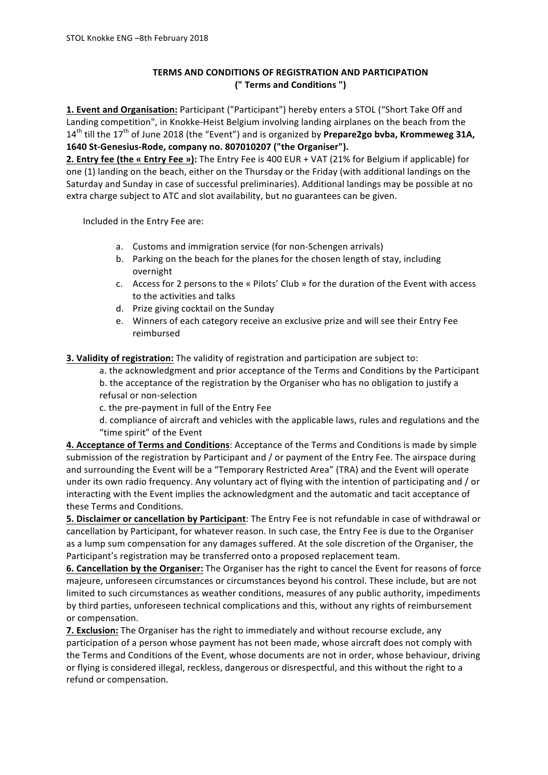## **TERMS AND CONDITIONS OF REGISTRATION AND PARTICIPATION (" Terms and Conditions ")**

**1. Event and Organisation:** Participant ("Participant") hereby enters a STOL ("Short Take Off and Landing competition", in Knokke-Heist Belgium involving landing airplanes on the beach from the  $14<sup>th</sup>$  till the  $17<sup>th</sup>$  of June 2018 (the "Event") and is organized by **Prepare2go bvba, Krommeweg 31A, 1640 St-Genesius-Rode, company no. 807010207 ("the Organiser").**

**2. Entry fee (the « Entry Fee »):** The Entry Fee is 400 EUR + VAT (21% for Belgium if applicable) for one (1) landing on the beach, either on the Thursday or the Friday (with additional landings on the Saturday and Sunday in case of successful preliminaries). Additional landings may be possible at no extra charge subject to ATC and slot availability, but no guarantees can be given.

Included in the Entry Fee are:

- a. Customs and immigration service (for non-Schengen arrivals)
- b. Parking on the beach for the planes for the chosen length of stay, including overnight
- c. Access for 2 persons to the « Pilots' Club » for the duration of the Event with access to the activities and talks
- d. Prize giving cocktail on the Sunday
- e. Winners of each category receive an exclusive prize and will see their Entry Fee reimbursed

**3. Validity of registration:** The validity of registration and participation are subject to:

a. the acknowledgment and prior acceptance of the Terms and Conditions by the Participant

b. the acceptance of the registration by the Organiser who has no obligation to justify a refusal or non-selection

c. the pre-payment in full of the Entry Fee

d. compliance of aircraft and vehicles with the applicable laws, rules and regulations and the "time spirit" of the Event

4. Acceptance of Terms and Conditions: Acceptance of the Terms and Conditions is made by simple submission of the registration by Participant and / or payment of the Entry Fee. The airspace during and surrounding the Event will be a "Temporary Restricted Area" (TRA) and the Event will operate under its own radio frequency. Any voluntary act of flying with the intention of participating and / or interacting with the Event implies the acknowledgment and the automatic and tacit acceptance of these Terms and Conditions.

**5. Disclaimer or cancellation by Participant**: The Entry Fee is not refundable in case of withdrawal or cancellation by Participant, for whatever reason. In such case, the Entry Fee is due to the Organiser as a lump sum compensation for any damages suffered. At the sole discretion of the Organiser, the Participant's registration may be transferred onto a proposed replacement team.

**6. Cancellation by the Organiser:** The Organiser has the right to cancel the Event for reasons of force majeure, unforeseen circumstances or circumstances beyond his control. These include, but are not limited to such circumstances as weather conditions, measures of any public authority, impediments by third parties, unforeseen technical complications and this, without any rights of reimbursement or compensation.

**7. Exclusion:** The Organiser has the right to immediately and without recourse exclude, any participation of a person whose payment has not been made, whose aircraft does not comply with the Terms and Conditions of the Event, whose documents are not in order, whose behaviour, driving or flying is considered illegal, reckless, dangerous or disrespectful, and this without the right to a refund or compensation.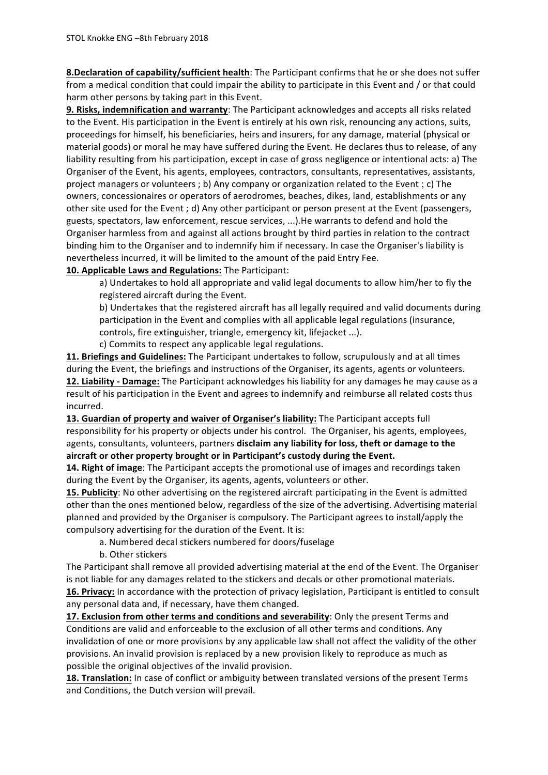**8.Declaration of capability/sufficient health**: The Participant confirms that he or she does not suffer from a medical condition that could impair the ability to participate in this Event and / or that could harm other persons by taking part in this Event.

**9. Risks, indemnification and warranty**: The Participant acknowledges and accepts all risks related to the Event. His participation in the Event is entirely at his own risk, renouncing any actions, suits, proceedings for himself, his beneficiaries, heirs and insurers, for any damage, material (physical or material goods) or moral he may have suffered during the Event. He declares thus to release, of any liability resulting from his participation, except in case of gross negligence or intentional acts: a) The Organiser of the Event, his agents, employees, contractors, consultants, representatives, assistants, project managers or volunteers ; b) Any company or organization related to the Event ; c) The owners, concessionaires or operators of aerodromes, beaches, dikes, land, establishments or any other site used for the Event ; d) Any other participant or person present at the Event (passengers, guests, spectators, law enforcement, rescue services, ...). He warrants to defend and hold the Organiser harmless from and against all actions brought by third parties in relation to the contract binding him to the Organiser and to indemnify him if necessary. In case the Organiser's liability is nevertheless incurred, it will be limited to the amount of the paid Entry Fee.

## **10. Applicable Laws and Regulations:** The Participant:

a) Undertakes to hold all appropriate and valid legal documents to allow him/her to fly the registered aircraft during the Event.

b) Undertakes that the registered aircraft has all legally required and valid documents during participation in the Event and complies with all applicable legal regulations (insurance, controls, fire extinguisher, triangle, emergency kit, lifejacket ...).

c) Commits to respect any applicable legal regulations.

11. Briefings and Guidelines: The Participant undertakes to follow, scrupulously and at all times during the Event, the briefings and instructions of the Organiser, its agents, agents or volunteers. **12. Liability** - Damage: The Participant acknowledges his liability for any damages he may cause as a result of his participation in the Event and agrees to indemnify and reimburse all related costs thus incurred.

13. Guardian of property and waiver of Organiser's liability: The Participant accepts full responsibility for his property or objects under his control. The Organiser, his agents, employees, agents, consultants, volunteers, partners disclaim any liability for loss, theft or damage to the aircraft or other property brought or in Participant's custody during the Event.

**14. Right of image**: The Participant accepts the promotional use of images and recordings taken during the Event by the Organiser, its agents, agents, volunteers or other.

**15. Publicity:** No other advertising on the registered aircraft participating in the Event is admitted other than the ones mentioned below, regardless of the size of the advertising. Advertising material planned and provided by the Organiser is compulsory. The Participant agrees to install/apply the compulsory advertising for the duration of the Event. It is:

- a. Numbered decal stickers numbered for doors/fuselage
- b. Other stickers

The Participant shall remove all provided advertising material at the end of the Event. The Organiser is not liable for any damages related to the stickers and decals or other promotional materials. **16. Privacy:** In accordance with the protection of privacy legislation, Participant is entitled to consult any personal data and, if necessary, have them changed.

**17. Exclusion from other terms and conditions and severability**: Only the present Terms and Conditions are valid and enforceable to the exclusion of all other terms and conditions. Any invalidation of one or more provisions by any applicable law shall not affect the validity of the other provisions. An invalid provision is replaced by a new provision likely to reproduce as much as possible the original objectives of the invalid provision.

**18. Translation:** In case of conflict or ambiguity between translated versions of the present Terms and Conditions, the Dutch version will prevail.